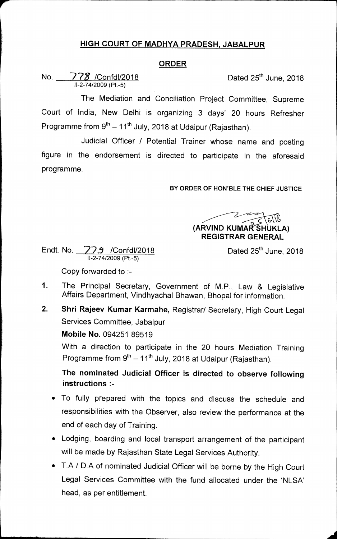## **HIGH COURT OF MADHYA PRADESH, JABALPUR**

## **ORDER**

No. 778 /Confdl/2018 Dated 25<sup>th</sup> June, 2018 11-2-74/2009 (Pt.-5)

The Mediation and Conciliation Project Committee, Supreme Court of India, New Delhi is organizing 3 days' 20 hours Refresher Programme from  $9<sup>th</sup> - 11<sup>th</sup>$  July, 2018 at Udaipur (Rajasthan).

Judicial Officer / Potential Trainer whose name and posting figure in the endorsement is directed to participate in the aforesaid programme.

**BY ORDER OF HON'BLE THE CHIEF JUSTICE** 

**(ARVIND KUMAR SHUKLA) REGISTRAR GENERAL** 

Endt. No. **779** /Confdl/2018 Dated 25<sup>th</sup> June, 2018 11-2-74/2009 (Pt.-5)

Copy forwarded to :-

- 1. The Principal Secretary, Government of M.P., Law & Legislative Affairs Department, Vindhyachal Bhawan, Bhopal for information.
- **2. Shri Rajeev Kumar Karmahe,** Registrar/ Secretary, High Court Legal Services Committee, Jabalpur

**Mobile No.** 094251 89519

With a direction to participate in the 20 hours Mediation Training Programme from  $9<sup>th</sup> - 11<sup>th</sup>$  July, 2018 at Udaipur (Rajasthan).

**The nominated Judicial Officer is directed to observe following instructions :-** 

- To fully prepared with the topics and discuss the schedule and responsibilities with the Observer, also review the performance at the end of each day of Training.
- Lodging, boarding and local transport arrangement of the participant will be made by Rajasthan State Legal Services Authority.
- T.A / D.A of nominated Judicial Officer will be borne by the High Court Legal Services Committee with the fund allocated under the `NLSA' head, as per entitlement.